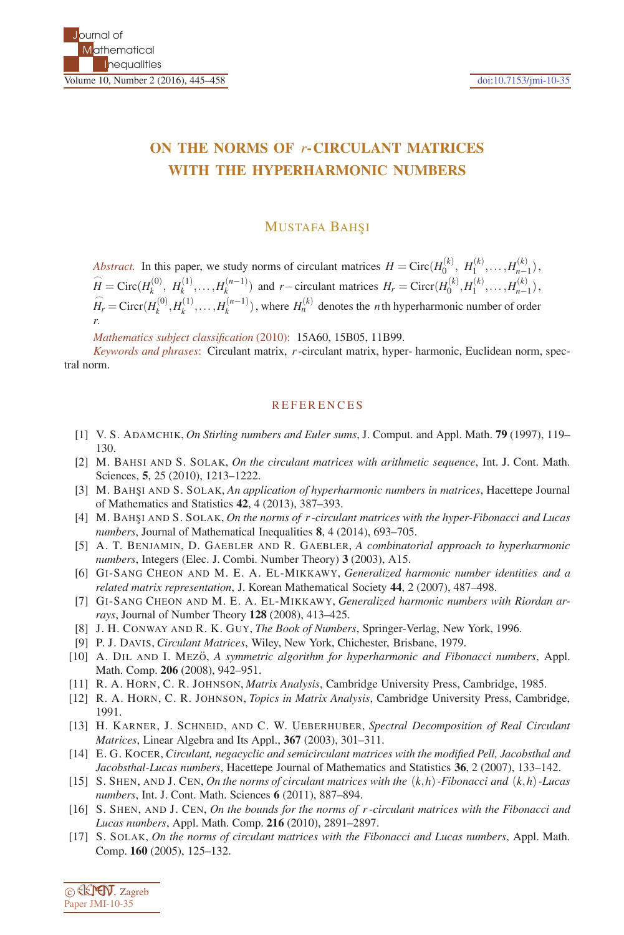## **ON THE NORMS OF** *r***-CIRCULANT MATRICES WITH THE HYPERHARMONIC NUMBERS**

## **MUSTAFA BAHŞI**

*Abstract.* In this paper, we study norms of circulant matrices  $H = \text{Circ}(H_0^{(k)}, H_1^{(k)}, \ldots, H_{n-1}^{(k)})$ ,  $\widehat{H}_0^{(k)}$ ,  $\widehat{H}_1^{(k)}$ ,  $\widehat{H}_2^{(k)}$ ,  $\widehat{H}_2^{(k)}$ ,  $\widehat{H}_2^{(k)}$ ,  $\widehat{H}_3^{(k)}$ ,  $\widehat{H}_4^{(k)}$ ,  $\widehat{H}_5^{(k)}$  $\widehat{H} = \text{Circ}(H_k^{(0)}, H_k^{(1)}, \dots, H_k^{(n-1)})$  and  $r-\text{circulant matrices } H_r = \text{Circ}(H_0^{(k)}, H_1^{(k)}, \dots, H_{n-1}^{(k)})$  $\widehat{H}_r = \text{Circ}(H_k^{(0)}, H_k^{(1)}, \dots, H_k^{(n-1)})$ , where  $H_n^{(k)}$  denotes the *n*th hyperharmonic number of order *r*.

*Mathematics subject classification* (2010): 15A60, 15B05, 11B99.

*Keywords and phrases*: Circulant matrix, *r*-circulant matrix, hyper- harmonic, Euclidean norm, spectral norm.

## **REFERENCES**

- [1] V. S. ADAMCHIK, *On Stirling numbers and Euler sums*, J. Comput. and Appl. Math. **79** (1997), 119– 130.
- [2] M. BAHSI AND S. SOLAK, *On the circulant matrices with arithmetic sequence*, Int. J. Cont. Math. Sciences, **5**, 25 (2010), 1213–1222.
- [3] M. BAHŞI AND S. SOLAK, *An application of hyperharmonic numbers in matrices*, Hacettepe Journal of Mathematics and Statistics **42**, 4 (2013), 387–393.
- [4] M. BAHS¸I AND S. SOLAK, *On the norms of r -circulant matrices with the hyper-Fibonacci and Lucas numbers*, Journal of Mathematical Inequalities **8**, 4 (2014), 693–705.
- [5] A. T. BENJAMIN, D. GAEBLER AND R. GAEBLER, *A combinatorial approach to hyperharmonic numbers*, Integers (Elec. J. Combi. Number Theory) **3** (2003), A15.
- [6] GI-SANG CHEON AND M. E. A. EL-MIKKAWY, *Generalized harmonic number identities and a related matrix representation*, J. Korean Mathematical Society **44**, 2 (2007), 487–498.
- [7] GI-SANG CHEON AND M. E. A. EL-MIKKAWY, *Generalized harmonic numbers with Riordan arrays*, Journal of Number Theory **128** (2008), 413–425.
- [8] J. H. CONWAY AND R. K. GUY, *The Book of Numbers*, Springer-Verlag, New York, 1996.
- [9] P. J. DAVIS, *Circulant Matrices*, Wiley, New York, Chichester, Brisbane, 1979.
- [10] A. DIL AND I. MEZO, A symmetric algorithm for hyperharmonic and Fibonacci numbers, Appl. Math. Comp. **206** (2008), 942–951.
- [11] R. A. HORN, C. R. JOHNSON, *Matrix Analysis*, Cambridge University Press, Cambridge, 1985.
- [12] R. A. HORN, C. R. JOHNSON, *Topics in Matrix Analysis*, Cambridge University Press, Cambridge, 1991.
- [13] H. KARNER, J. SCHNEID, AND C. W. UEBERHUBER, *Spectral Decomposition of Real Circulant Matrices*, Linear Algebra and Its Appl., **367** (2003), 301–311.
- [14] E. G. KOCER, *Circulant, negacyclic and semicirculant matrices with the modified Pell, Jacobsthal and Jacobsthal-Lucas numbers*, Hacettepe Journal of Mathematics and Statistics **36**, 2 (2007), 133–142.
- [15] S. SHEN, AND J. CEN, *On the norms of circulant matrices with the* (*k*,*h*)*-Fibonacci and* (*k*,*h*)*-Lucas numbers*, Int. J. Cont. Math. Sciences **6** (2011), 887–894.
- [16] S. SHEN, AND J. CEN, *On the bounds for the norms of r -circulant matrices with the Fibonacci and Lucas numbers*, Appl. Math. Comp. **216** (2010), 2891–2897.
- [17] S. SOLAK, *On the norms of circulant matrices with the Fibonacci and Lucas numbers*, Appl. Math. Comp. **160** (2005), 125–132.